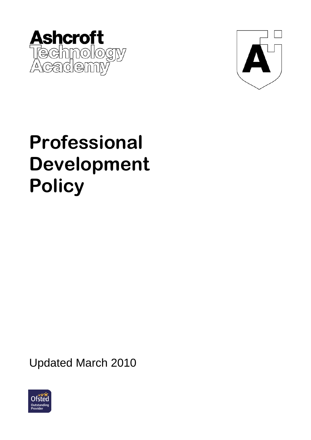



# **Professional Development Policy**

Updated March 2010

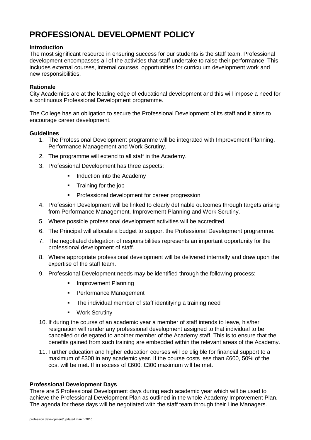# **PROFESSIONAL DEVELOPMENT POLICY**

# **Introduction**

The most significant resource in ensuring success for our students is the staff team. Professional development encompasses all of the activities that staff undertake to raise their performance. This includes external courses, internal courses, opportunities for curriculum development work and new responsibilities.

# **Rationale**

City Academies are at the leading edge of educational development and this will impose a need for a continuous Professional Development programme.

The College has an obligation to secure the Professional Development of its staff and it aims to encourage career development.

# **Guidelines**

- 1. The Professional Development programme will be integrated with Improvement Planning, Performance Management and Work Scrutiny.
- 2. The programme will extend to all staff in the Academy.
- 3. Professional Development has three aspects:
	- **Induction into the Academy**
	- **Training for the job**
	- **Professional development for career progression**
- 4. Profession Development will be linked to clearly definable outcomes through targets arising from Performance Management, Improvement Planning and Work Scrutiny.
- 5. Where possible professional development activities will be accredited.
- 6. The Principal will allocate a budget to support the Professional Development programme.
- 7. The negotiated delegation of responsibilities represents an important opportunity for the professional development of staff.
- 8. Where appropriate professional development will be delivered internally and draw upon the expertise of the staff team.
- 9. Professional Development needs may be identified through the following process:
	- **Improvement Planning**
	- **Performance Management**
	- **The individual member of staff identifying a training need**
	- **•** Work Scrutiny
- 10. If during the course of an academic year a member of staff intends to leave, his/her resignation will render any professional development assigned to that individual to be cancelled or delegated to another member of the Academy staff. This is to ensure that the benefits gained from such training are embedded within the relevant areas of the Academy.
- 11. Further education and higher education courses will be eligible for financial support to a maximum of £300 in any academic year. If the course costs less than £600, 50% of the cost will be met. If in excess of £600, £300 maximum will be met.

#### **Professional Development Days**

There are 5 Professional Development days during each academic year which will be used to achieve the Professional Development Plan as outlined in the whole Academy Improvement Plan. The agenda for these days will be negotiated with the staff team through their Line Managers.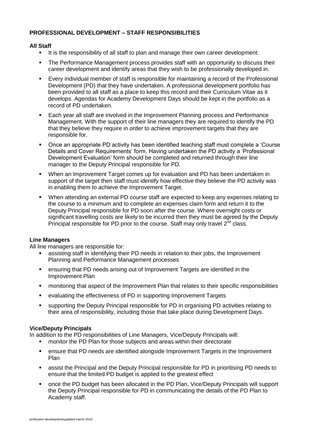# **PROFESSIONAL DEVELOPMENT – STAFF RESPONSIBILITIES**

### **All Staff**

- It is the responsibility of all staff to plan and manage their own career development.
- **The Performance Management process provides staff with an opportunity to discuss their** career development and identify areas that they wish to be professionally developed in.
- Every individual member of staff is responsible for maintaining a record of the Professional Development (PD) that they have undertaken. A professional development portfolio has been provided to all staff as a place to keep this record and their Curriculum Vitae as it develops. Agendas for Academy Development Days should be kept in the portfolio as a record of PD undertaken.
- Each year all staff are involved in the Improvement Planning process and Performance Management. With the support of their line managers they are required to identify the PD that they believe they require in order to achieve improvement targets that they are responsible for.
- Once an appropriate PD activity has been identified teaching staff must complete a 'Course Details and Cover Requirements' form. Having undertaken the PD activity a 'Professional Development Evaluation' form should be completed and returned through their line manager to the Deputy Principal responsible for PD.
- When an Improvement Target comes up for evaluation and PD has been undertaken in support of the target then staff must identify how effective they believe the PD activity was in enabling them to achieve the Improvement Target.
- When attending an external PD course staff are expected to keep any expenses relating to the course to a minimum and to complete an expenses claim form and return it to the Deputy Principal responsible for PD soon after the course. Where overnight costs or significant travelling costs are likely to be incurred then they must be agreed by the Deputy Principal responsible for PD prior to the course. Staff may only travel  $2<sup>nd</sup>$  class.

# **Line Managers**

All line managers are responsible for:

- assisting staff in identifying their PD needs in relation to their jobs, the Improvement Planning and Performance Management processes
- ensuring that PD needs arising out of Improvement Targets are identified in the Improvement Plan
- **•** monitoring that aspect of the Improvement Plan that relates to their specific responsibilities
- evaluating the effectiveness of PD in supporting Improvement Targets
- supporting the Deputy Principal responsible for PD in organising PD activities relating to their area of responsibility, including those that take place during Development Days.

# **Vice/Deputy Principals**

In addition to the PD responsibilities of Line Managers, Vice/Deputy Principals will:

- **EXECT** monitor the PD Plan for those subjects and areas within their directorate
- ensure that PD needs are identified alongside Improvement Targets in the Improvement Plan
- assist the Principal and the Deputy Principal responsible for PD in prioritising PD needs to ensure that the limited PD budget is applied to the greatest effect
- once the PD budget has been allocated in the PD Plan, Vice/Deputy Principals will support the Deputy Principal responsible for PD in communicating the details of the PD Plan to Academy staff.